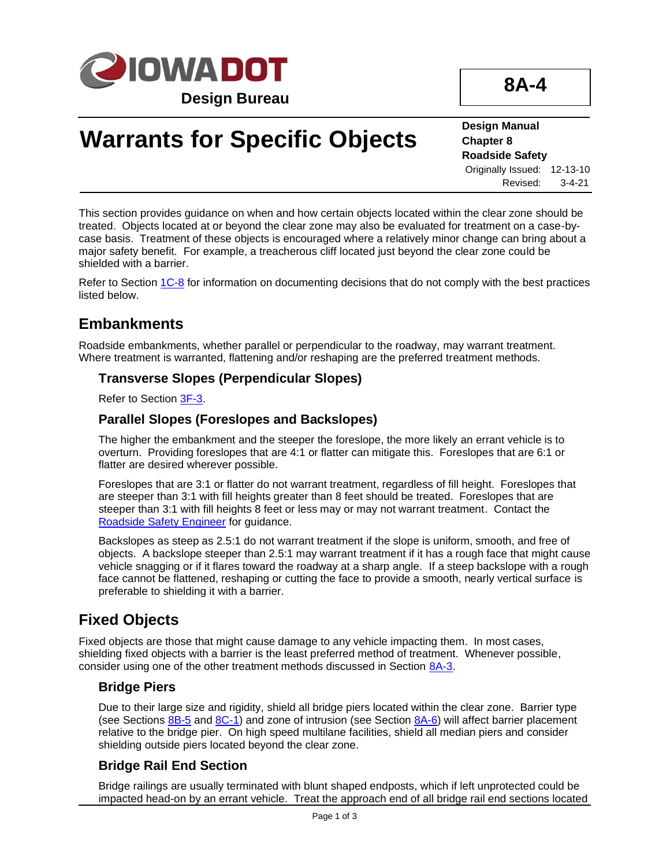

**8A-4**

# **Warrants for Specific Objects**

#### **Design Manual Chapter 8 Roadside Safety** Originally Issued: 12-13-10

Revised: 3-4-21

This section provides guidance on when and how certain objects located within the clear zone should be treated. Objects located at or beyond the clear zone may also be evaluated for treatment on a case-bycase basis. Treatment of these objects is encouraged where a relatively minor change can bring about a major safety benefit. For example, a treacherous cliff located just beyond the clear zone could be shielded with a barrier.

Refer to Section [1C-8](01c-08.pdf) for information on documenting decisions that do not comply with the best practices listed below.

# **Embankments**

Roadside embankments, whether parallel or perpendicular to the roadway, may warrant treatment. Where treatment is warranted, flattening and/or reshaping are the preferred treatment methods.

## **Transverse Slopes (Perpendicular Slopes)**

Refer to Section [3F-3.](03f-03.pdf)

## **Parallel Slopes (Foreslopes and Backslopes)**

The higher the embankment and the steeper the foreslope, the more likely an errant vehicle is to overturn. Providing foreslopes that are 4:1 or flatter can mitigate this. Foreslopes that are 6:1 or flatter are desired wherever possible.

Foreslopes that are 3:1 or flatter do not warrant treatment, regardless of fill height. Foreslopes that are steeper than 3:1 with fill heights greater than 8 feet should be treated. Foreslopes that are steeper than 3:1 with fill heights 8 feet or less may or may not warrant treatment. Contact the [Roadside Safety Engineer](01B-02/RoadsideSafetyEngineer.pdf) for guidance.

Backslopes as steep as 2.5:1 do not warrant treatment if the slope is uniform, smooth, and free of objects. A backslope steeper than 2.5:1 may warrant treatment if it has a rough face that might cause vehicle snagging or if it flares toward the roadway at a sharp angle. If a steep backslope with a rough face cannot be flattened, reshaping or cutting the face to provide a smooth, nearly vertical surface is preferable to shielding it with a barrier.

# **Fixed Objects**

Fixed objects are those that might cause damage to any vehicle impacting them. In most cases, shielding fixed objects with a barrier is the least preferred method of treatment. Whenever possible, consider using one of the other treatment methods discussed in Section [8A-3.](08a-03.pdf)

# **Bridge Piers**

Due to their large size and rigidity, shield all bridge piers located within the clear zone. Barrier type (see Sections  $8B-5$  and  $8C-1$ ) and zone of intrusion (see Section  $8A-6$ ) will affect barrier placement relative to the bridge pier. On high speed multilane facilities, shield all median piers and consider shielding outside piers located beyond the clear zone.

# **Bridge Rail End Section**

Bridge railings are usually terminated with blunt shaped endposts, which if left unprotected could be impacted head-on by an errant vehicle. Treat the approach end of all bridge rail end sections located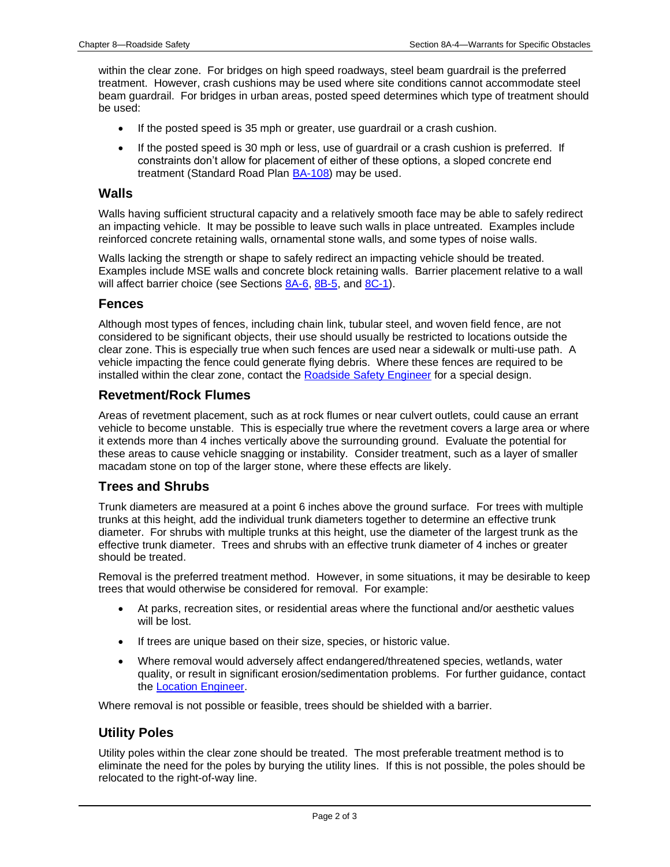within the clear zone. For bridges on high speed roadways, steel beam guardrail is the preferred treatment. However, crash cushions may be used where site conditions cannot accommodate steel beam guardrail. For bridges in urban areas, posted speed determines which type of treatment should be used:

- If the posted speed is 35 mph or greater, use guardrail or a crash cushion.
- If the posted speed is 30 mph or less, use of guardrail or a crash cushion is preferred. If constraints don't allow for placement of either of these options, a sloped concrete end treatment (Standard Road Plan [BA-108\)](../SRP/IndividualStandards/ba108.pdf) may be used.

#### **Walls**

Walls having sufficient structural capacity and a relatively smooth face may be able to safely redirect an impacting vehicle. It may be possible to leave such walls in place untreated. Examples include reinforced concrete retaining walls, ornamental stone walls, and some types of noise walls.

Walls lacking the strength or shape to safely redirect an impacting vehicle should be treated. Examples include MSE walls and concrete block retaining walls. Barrier placement relative to a wall will affect barrier choice (see Sections [8A-6,](08A-06.pdf) [8B-5,](08b-05.pdf) and [8C-1\)](08c-01.pdf).

#### **Fences**

Although most types of fences, including chain link, tubular steel, and woven field fence, are not considered to be significant objects, their use should usually be restricted to locations outside the clear zone. This is especially true when such fences are used near a sidewalk or multi-use path. A vehicle impacting the fence could generate flying debris. Where these fences are required to be installed within the clear zone, contact the [Roadside Safety Engineer](01B-02/RoadsideSafetyEngineer.pdf) for a special design.

#### **Revetment/Rock Flumes**

Areas of revetment placement, such as at rock flumes or near culvert outlets, could cause an errant vehicle to become unstable. This is especially true where the revetment covers a large area or where it extends more than 4 inches vertically above the surrounding ground. Evaluate the potential for these areas to cause vehicle snagging or instability. Consider treatment, such as a layer of smaller macadam stone on top of the larger stone, where these effects are likely.

#### **Trees and Shrubs**

Trunk diameters are measured at a point 6 inches above the ground surface. For trees with multiple trunks at this height, add the individual trunk diameters together to determine an effective trunk diameter. For shrubs with multiple trunks at this height, use the diameter of the largest trunk as the effective trunk diameter. Trees and shrubs with an effective trunk diameter of 4 inches or greater should be treated.

Removal is the preferred treatment method. However, in some situations, it may be desirable to keep trees that would otherwise be considered for removal. For example:

- At parks, recreation sites, or residential areas where the functional and/or aesthetic values will be lost.
- If trees are unique based on their size, species, or historic value.
- Where removal would adversely affect endangered/threatened species, wetlands, water quality, or result in significant erosion/sedimentation problems. For further guidance, contact the [Location Engineer.](01B-02/LocationEngineer.pdf)

Where removal is not possible or feasible, trees should be shielded with a barrier.

#### **Utility Poles**

Utility poles within the clear zone should be treated. The most preferable treatment method is to eliminate the need for the poles by burying the utility lines. If this is not possible, the poles should be relocated to the right-of-way line.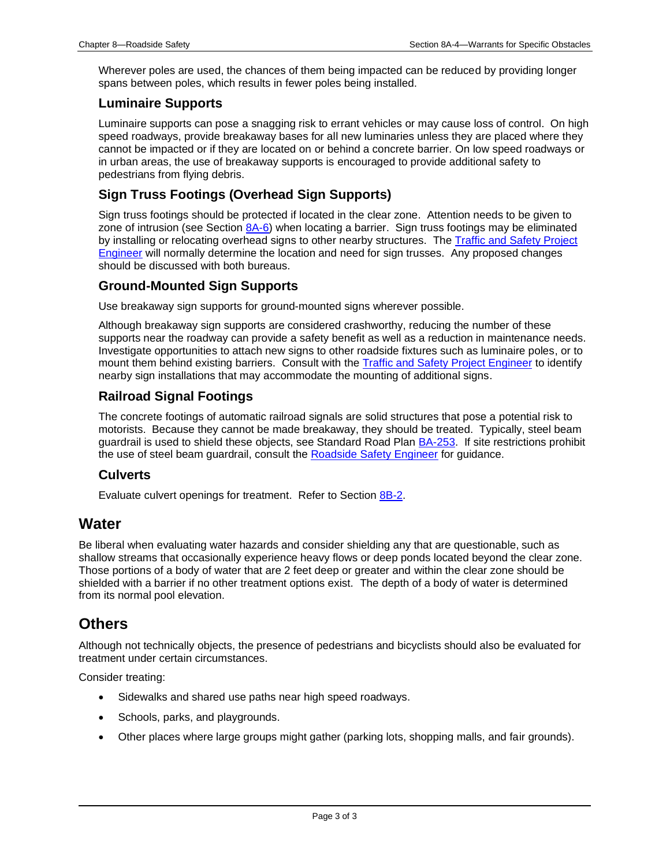Wherever poles are used, the chances of them being impacted can be reduced by providing longer spans between poles, which results in fewer poles being installed.

#### **Luminaire Supports**

Luminaire supports can pose a snagging risk to errant vehicles or may cause loss of control. On high speed roadways, provide breakaway bases for all new luminaries unless they are placed where they cannot be impacted or if they are located on or behind a concrete barrier. On low speed roadways or in urban areas, the use of breakaway supports is encouraged to provide additional safety to pedestrians from flying debris.

## **Sign Truss Footings (Overhead Sign Supports)**

Sign truss footings should be protected if located in the clear zone. Attention needs to be given to zone of intrusion (see Section [8A-6\)](08A-06.pdf) when locating a barrier. Sign truss footings may be eliminated by installing or relocating overhead signs to other nearby structures. The Traffic and Safety Project **[Engineer](01B-02/TrafficSafetyProjectEngineer.pdf) will normally determine the location and need for sign trusses.** Any proposed changes should be discussed with both bureaus.

#### **Ground-Mounted Sign Supports**

Use breakaway sign supports for ground-mounted signs wherever possible.

Although breakaway sign supports are considered crashworthy, reducing the number of these supports near the roadway can provide a safety benefit as well as a reduction in maintenance needs. Investigate opportunities to attach new signs to other roadside fixtures such as luminaire poles, or to mount them behind existing barriers. Consult with the [Traffic and Safety Project Engineer](01B-02/TrafficSafetyProjectEngineer.pdf) to identify nearby sign installations that may accommodate the mounting of additional signs.

# **Railroad Signal Footings**

The concrete footings of automatic railroad signals are solid structures that pose a potential risk to motorists. Because they cannot be made breakaway, they should be treated. Typically, steel beam guardrail is used to shield these objects, see Standard Road Plan [BA-253.](../SRP/IndividualStandards/ba253.pdf) If site restrictions prohibit the use of steel beam guardrail, consult the [Roadside Safety Engineer](01B-02/RoadsideSafetyEngineer.pdf) for guidance.

#### **Culverts**

Evaluate culvert openings for treatment. Refer to Section [8B-2.](08B-02.pdf)

# **Water**

Be liberal when evaluating water hazards and consider shielding any that are questionable, such as shallow streams that occasionally experience heavy flows or deep ponds located beyond the clear zone. Those portions of a body of water that are 2 feet deep or greater and within the clear zone should be shielded with a barrier if no other treatment options exist. The depth of a body of water is determined from its normal pool elevation.

# **Others**

Although not technically objects, the presence of pedestrians and bicyclists should also be evaluated for treatment under certain circumstances.

Consider treating:

- Sidewalks and shared use paths near high speed roadways.
- Schools, parks, and playgrounds.
- Other places where large groups might gather (parking lots, shopping malls, and fair grounds).